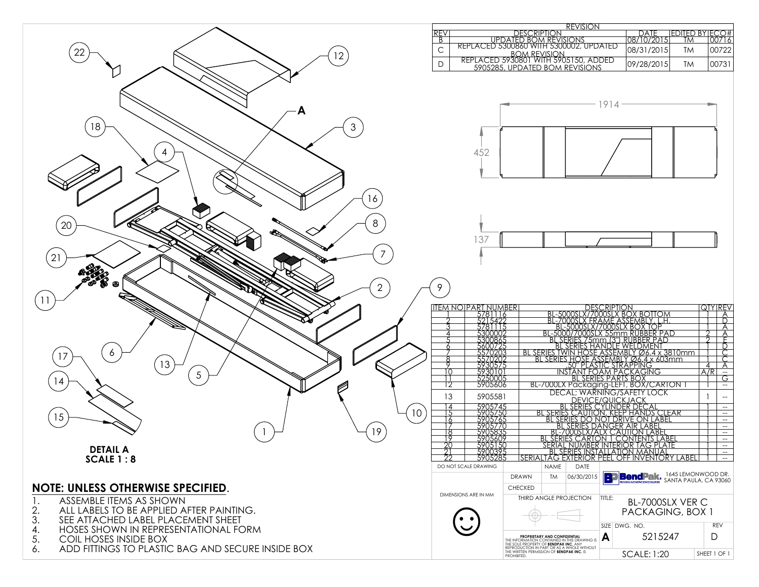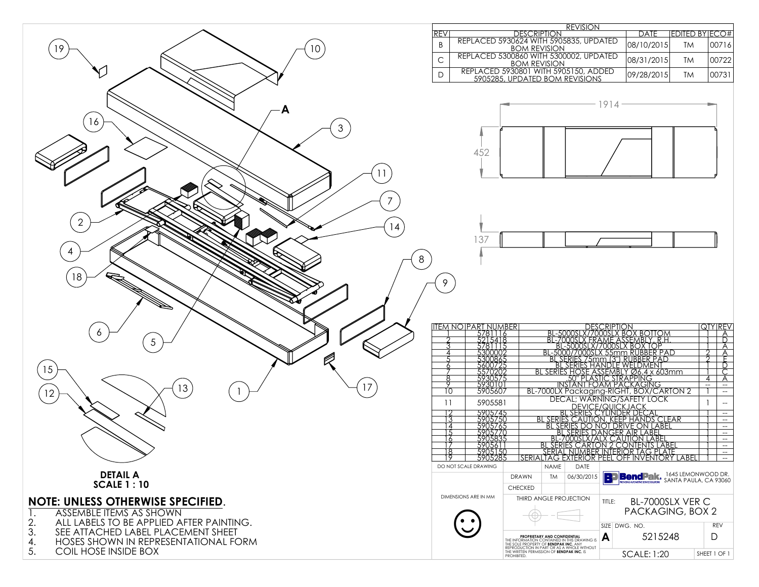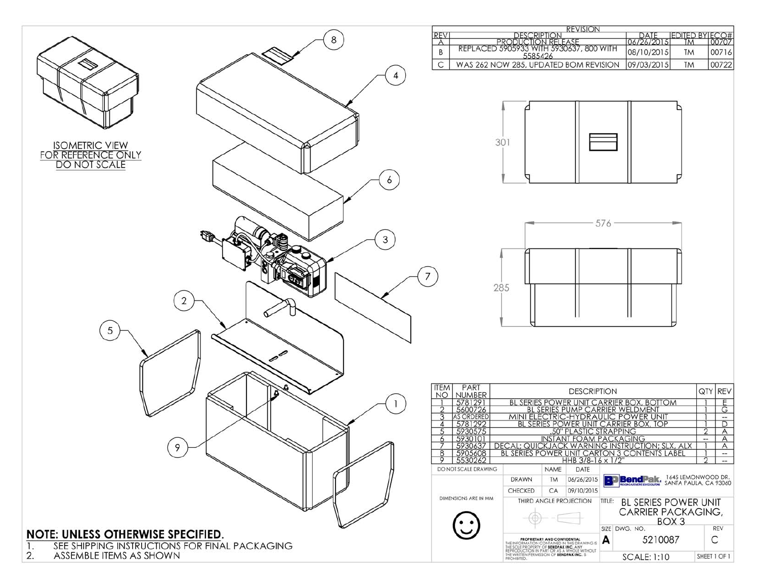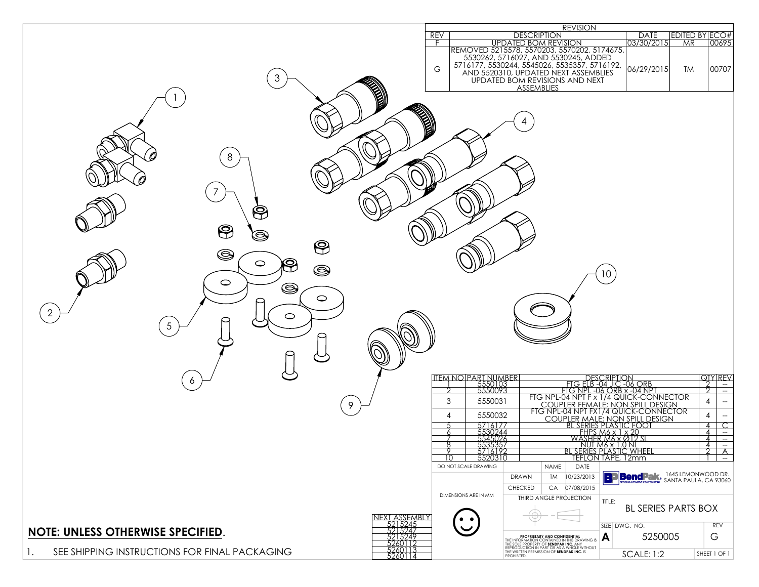